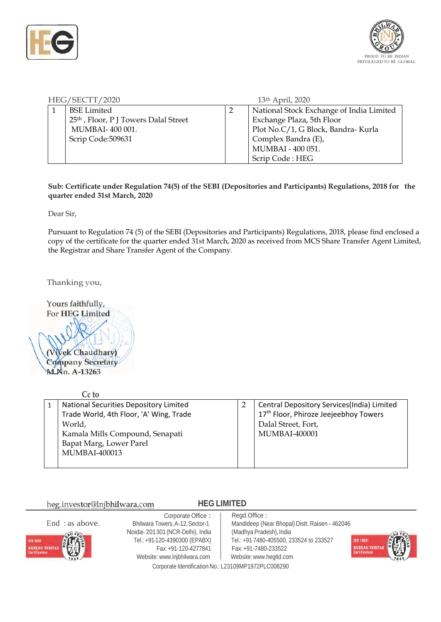



| HEG/SECTT/2020 |                                                   |  | 13 <sup>th</sup> April, 2020             |  |
|----------------|---------------------------------------------------|--|------------------------------------------|--|
|                | <b>BSE</b> Limited                                |  | National Stock Exchange of India Limited |  |
|                | 25 <sup>th</sup> , Floor, P J Towers Dalal Street |  | Exchange Plaza, 5th Floor                |  |
|                | <b>MUMBAI-400001.</b>                             |  | Plot No.C/1, G Block, Bandra- Kurla      |  |
|                | Scrip Code:509631                                 |  | Complex Bandra (E),                      |  |
|                |                                                   |  | MUMBAI - 400 051.                        |  |
|                |                                                   |  | Scrip Code: HEG                          |  |

**Sub: Certificate under Regulation 74(5) of the SEBI (Depositories and Participants) Regulations, 2018 for the quarter ended 31st March, 2020**

Dear Sir,

Pursuant to Regulation 74 (5) of the SEBI (Depositories and Participants) Regulations, 2018, please find enclosed a copy of the certificate for the quarter ended 31st March, 2020 as received from MCS Share Transfer Agent Limited, the Registrar and Share Transfer Agent of the Company.

Thanking you,

Yours faithfully, For HEG Limited (Vivek Chaudhary) **Company Secretary M**No. A-13263

| Cc to                                   |                                                   |
|-----------------------------------------|---------------------------------------------------|
| National Securities Depository Limited  | Central Depository Services(India) Limited        |
| Trade World, 4th Floor, 'A' Wing, Trade | 17 <sup>th</sup> Floor, Phiroze Jeejeebhoy Towers |
| World,                                  | Dalal Street, Fort,                               |
| Kamala Mills Compound, Senapati         | <b>MUMBAI-400001</b>                              |
| Bapat Marg, Lower Parel                 |                                                   |
| <b>MUMBAI-400013</b>                    |                                                   |
|                                         |                                                   |

heg.investor@lnjbhilwara.com

## **HEG LIMITED**

End : as above.



Corporate Office : Bhilwara Towers,A-12,Sector-1 Noida- 201301 (NCR-Delhi), India Tel.: +91-120-4390300 (EPABX) Fax:+91-120-4277841 Website: [www.lnjbhilwara.com](http://www.lnjbhilwara.com/) | Website: www.hegltd.com

Regd.Office : Mandideep (Near Bhopal) Distt. Raisen - <sup>462046</sup> (Madhya Pradesh), India Tel.: +91-7480-405500, 233524 to 233527 Fax:+91-7480-233522



Corporate Identification No.: L23109MP1972PLC008290